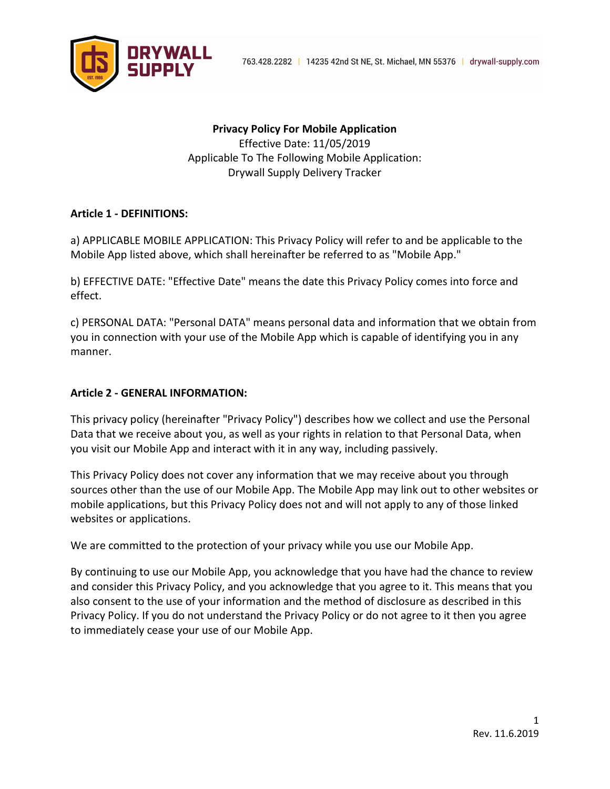

**Privacy Policy For Mobile Application** Effective Date: 11/05/2019 Applicable To The Following Mobile Application: Drywall Supply Delivery Tracker

### **Article 1 - DEFINITIONS:**

a) APPLICABLE MOBILE APPLICATION: This Privacy Policy will refer to and be applicable to the Mobile App listed above, which shall hereinafter be referred to as "Mobile App."

b) EFFECTIVE DATE: "Effective Date" means the date this Privacy Policy comes into force and effect.

c) PERSONAL DATA: "Personal DATA" means personal data and information that we obtain from you in connection with your use of the Mobile App which is capable of identifying you in any manner.

#### **Article 2 - GENERAL INFORMATION:**

This privacy policy (hereinafter "Privacy Policy") describes how we collect and use the Personal Data that we receive about you, as well as your rights in relation to that Personal Data, when you visit our Mobile App and interact with it in any way, including passively.

This Privacy Policy does not cover any information that we may receive about you through sources other than the use of our Mobile App. The Mobile App may link out to other websites or mobile applications, but this Privacy Policy does not and will not apply to any of those linked websites or applications.

We are committed to the protection of your privacy while you use our Mobile App.

By continuing to use our Mobile App, you acknowledge that you have had the chance to review and consider this Privacy Policy, and you acknowledge that you agree to it. This means that you also consent to the use of your information and the method of disclosure as described in this Privacy Policy. If you do not understand the Privacy Policy or do not agree to it then you agree to immediately cease your use of our Mobile App.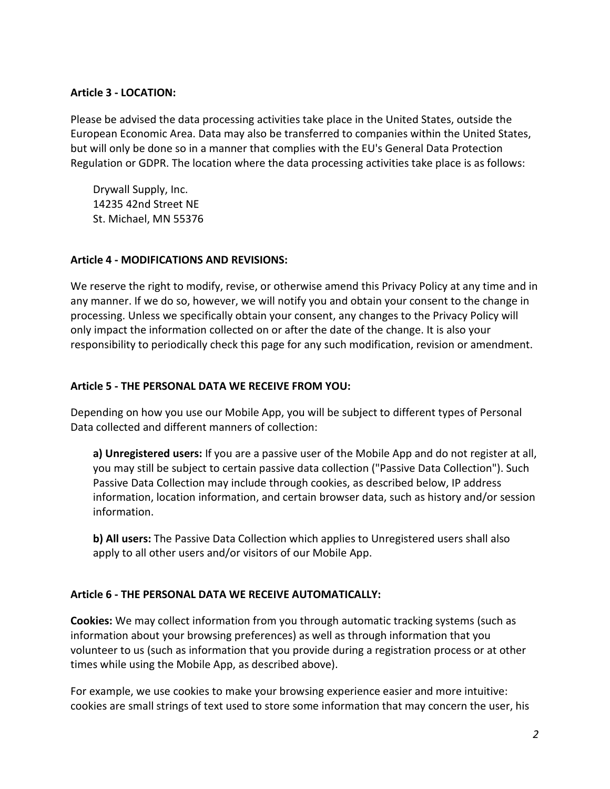### **Article 3 - LOCATION:**

Please be advised the data processing activities take place in the United States, outside the European Economic Area. Data may also be transferred to companies within the United States, but will only be done so in a manner that complies with the EU's General Data Protection Regulation or GDPR. The location where the data processing activities take place is as follows:

Drywall Supply, Inc. 14235 42nd Street NE St. Michael, MN 55376

### **Article 4 - MODIFICATIONS AND REVISIONS:**

We reserve the right to modify, revise, or otherwise amend this Privacy Policy at any time and in any manner. If we do so, however, we will notify you and obtain your consent to the change in processing. Unless we specifically obtain your consent, any changes to the Privacy Policy will only impact the information collected on or after the date of the change. It is also your responsibility to periodically check this page for any such modification, revision or amendment.

### **Article 5 - THE PERSONAL DATA WE RECEIVE FROM YOU:**

Depending on how you use our Mobile App, you will be subject to different types of Personal Data collected and different manners of collection:

**a) Unregistered users:** If you are a passive user of the Mobile App and do not register at all, you may still be subject to certain passive data collection ("Passive Data Collection"). Such Passive Data Collection may include through cookies, as described below, IP address information, location information, and certain browser data, such as history and/or session information.

**b) All users:** The Passive Data Collection which applies to Unregistered users shall also apply to all other users and/or visitors of our Mobile App.

## **Article 6 - THE PERSONAL DATA WE RECEIVE AUTOMATICALLY:**

**Cookies:** We may collect information from you through automatic tracking systems (such as information about your browsing preferences) as well as through information that you volunteer to us (such as information that you provide during a registration process or at other times while using the Mobile App, as described above).

For example, we use cookies to make your browsing experience easier and more intuitive: cookies are small strings of text used to store some information that may concern the user, his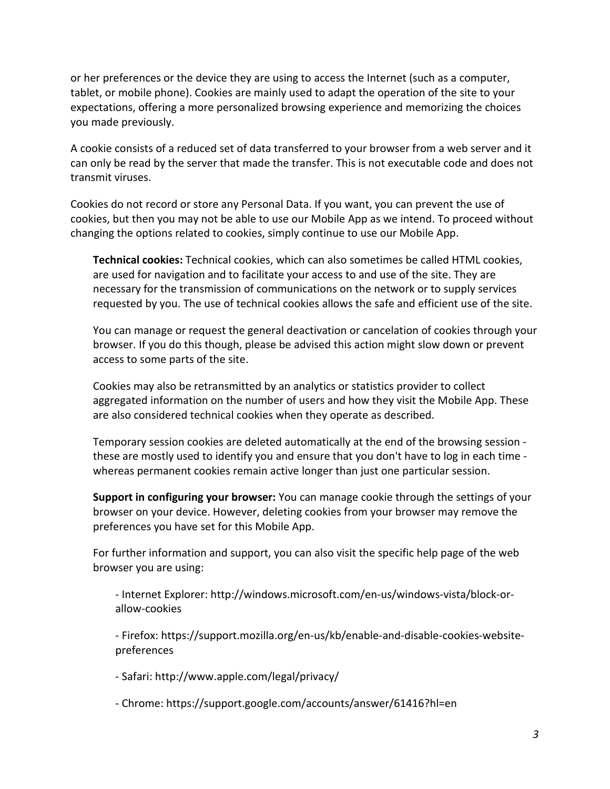or her preferences or the device they are using to access the Internet (such as a computer, tablet, or mobile phone). Cookies are mainly used to adapt the operation of the site to your expectations, offering a more personalized browsing experience and memorizing the choices you made previously.

A cookie consists of a reduced set of data transferred to your browser from a web server and it can only be read by the server that made the transfer. This is not executable code and does not transmit viruses.

Cookies do not record or store any Personal Data. If you want, you can prevent the use of cookies, but then you may not be able to use our Mobile App as we intend. To proceed without changing the options related to cookies, simply continue to use our Mobile App.

**Technical cookies:** Technical cookies, which can also sometimes be called HTML cookies, are used for navigation and to facilitate your access to and use of the site. They are necessary for the transmission of communications on the network or to supply services requested by you. The use of technical cookies allows the safe and efficient use of the site.

You can manage or request the general deactivation or cancelation of cookies through your browser. If you do this though, please be advised this action might slow down or prevent access to some parts of the site.

Cookies may also be retransmitted by an analytics or statistics provider to collect aggregated information on the number of users and how they visit the Mobile App. These are also considered technical cookies when they operate as described.

Temporary session cookies are deleted automatically at the end of the browsing session these are mostly used to identify you and ensure that you don't have to log in each time whereas permanent cookies remain active longer than just one particular session.

**Support in configuring your browser:** You can manage cookie through the settings of your browser on your device. However, deleting cookies from your browser may remove the preferences you have set for this Mobile App.

For further information and support, you can also visit the specific help page of the web browser you are using:

- Internet Explorer: http://windows.microsoft.com/en-us/windows-vista/block-orallow-cookies

- Firefox: https://support.mozilla.org/en-us/kb/enable-and-disable-cookies-websitepreferences

- Safari: http://www.apple.com/legal/privacy/

- Chrome: https://support.google.com/accounts/answer/61416?hl=en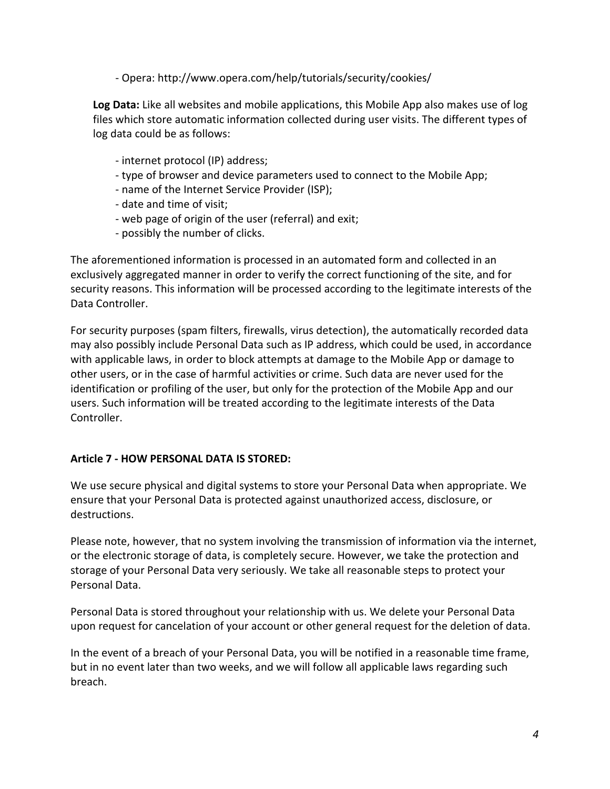- Opera: http://www.opera.com/help/tutorials/security/cookies/

**Log Data:** Like all websites and mobile applications, this Mobile App also makes use of log files which store automatic information collected during user visits. The different types of log data could be as follows:

- internet protocol (IP) address;
- type of browser and device parameters used to connect to the Mobile App;
- name of the Internet Service Provider (ISP);
- date and time of visit;
- web page of origin of the user (referral) and exit;
- possibly the number of clicks.

The aforementioned information is processed in an automated form and collected in an exclusively aggregated manner in order to verify the correct functioning of the site, and for security reasons. This information will be processed according to the legitimate interests of the Data Controller.

For security purposes (spam filters, firewalls, virus detection), the automatically recorded data may also possibly include Personal Data such as IP address, which could be used, in accordance with applicable laws, in order to block attempts at damage to the Mobile App or damage to other users, or in the case of harmful activities or crime. Such data are never used for the identification or profiling of the user, but only for the protection of the Mobile App and our users. Such information will be treated according to the legitimate interests of the Data Controller.

## **Article 7 - HOW PERSONAL DATA IS STORED:**

We use secure physical and digital systems to store your Personal Data when appropriate. We ensure that your Personal Data is protected against unauthorized access, disclosure, or destructions.

Please note, however, that no system involving the transmission of information via the internet, or the electronic storage of data, is completely secure. However, we take the protection and storage of your Personal Data very seriously. We take all reasonable steps to protect your Personal Data.

Personal Data is stored throughout your relationship with us. We delete your Personal Data upon request for cancelation of your account or other general request for the deletion of data.

In the event of a breach of your Personal Data, you will be notified in a reasonable time frame, but in no event later than two weeks, and we will follow all applicable laws regarding such breach.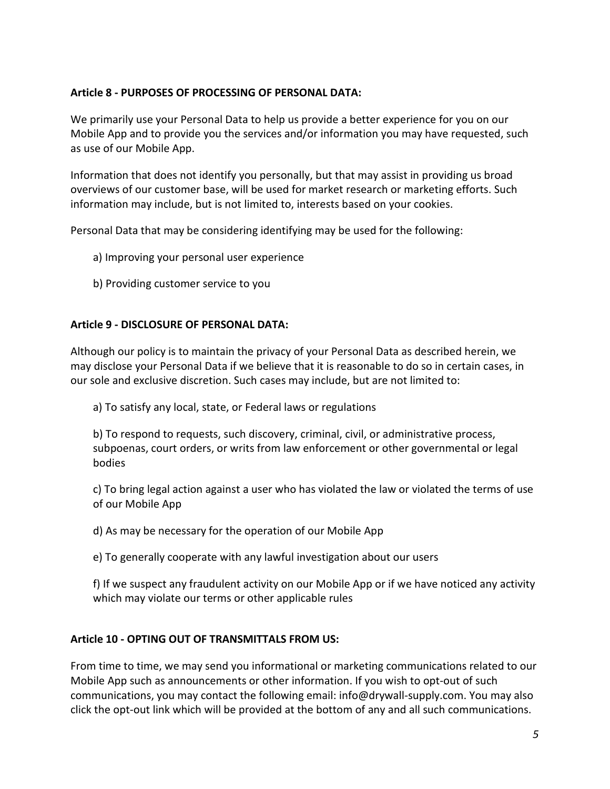## **Article 8 - PURPOSES OF PROCESSING OF PERSONAL DATA:**

We primarily use your Personal Data to help us provide a better experience for you on our Mobile App and to provide you the services and/or information you may have requested, such as use of our Mobile App.

Information that does not identify you personally, but that may assist in providing us broad overviews of our customer base, will be used for market research or marketing efforts. Such information may include, but is not limited to, interests based on your cookies.

Personal Data that may be considering identifying may be used for the following:

- a) Improving your personal user experience
- b) Providing customer service to you

### **Article 9 - DISCLOSURE OF PERSONAL DATA:**

Although our policy is to maintain the privacy of your Personal Data as described herein, we may disclose your Personal Data if we believe that it is reasonable to do so in certain cases, in our sole and exclusive discretion. Such cases may include, but are not limited to:

a) To satisfy any local, state, or Federal laws or regulations

b) To respond to requests, such discovery, criminal, civil, or administrative process, subpoenas, court orders, or writs from law enforcement or other governmental or legal bodies

c) To bring legal action against a user who has violated the law or violated the terms of use of our Mobile App

d) As may be necessary for the operation of our Mobile App

e) To generally cooperate with any lawful investigation about our users

f) If we suspect any fraudulent activity on our Mobile App or if we have noticed any activity which may violate our terms or other applicable rules

## **Article 10 - OPTING OUT OF TRANSMITTALS FROM US:**

From time to time, we may send you informational or marketing communications related to our Mobile App such as announcements or other information. If you wish to opt-out of such communications, you may contact the following email: info@drywall-supply.com. You may also click the opt-out link which will be provided at the bottom of any and all such communications.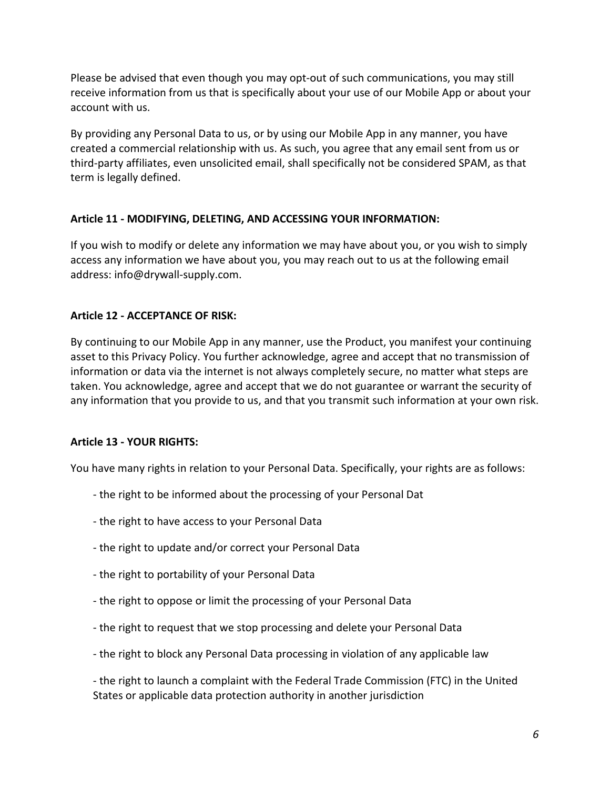Please be advised that even though you may opt-out of such communications, you may still receive information from us that is specifically about your use of our Mobile App or about your account with us.

By providing any Personal Data to us, or by using our Mobile App in any manner, you have created a commercial relationship with us. As such, you agree that any email sent from us or third-party affiliates, even unsolicited email, shall specifically not be considered SPAM, as that term is legally defined.

## **Article 11 - MODIFYING, DELETING, AND ACCESSING YOUR INFORMATION:**

If you wish to modify or delete any information we may have about you, or you wish to simply access any information we have about you, you may reach out to us at the following email address: info@drywall-supply.com.

## **Article 12 - ACCEPTANCE OF RISK:**

By continuing to our Mobile App in any manner, use the Product, you manifest your continuing asset to this Privacy Policy. You further acknowledge, agree and accept that no transmission of information or data via the internet is not always completely secure, no matter what steps are taken. You acknowledge, agree and accept that we do not guarantee or warrant the security of any information that you provide to us, and that you transmit such information at your own risk.

# **Article 13 - YOUR RIGHTS:**

You have many rights in relation to your Personal Data. Specifically, your rights are as follows:

- the right to be informed about the processing of your Personal Dat
- the right to have access to your Personal Data
- the right to update and/or correct your Personal Data
- the right to portability of your Personal Data
- the right to oppose or limit the processing of your Personal Data
- the right to request that we stop processing and delete your Personal Data
- the right to block any Personal Data processing in violation of any applicable law

- the right to launch a complaint with the Federal Trade Commission (FTC) in the United States or applicable data protection authority in another jurisdiction